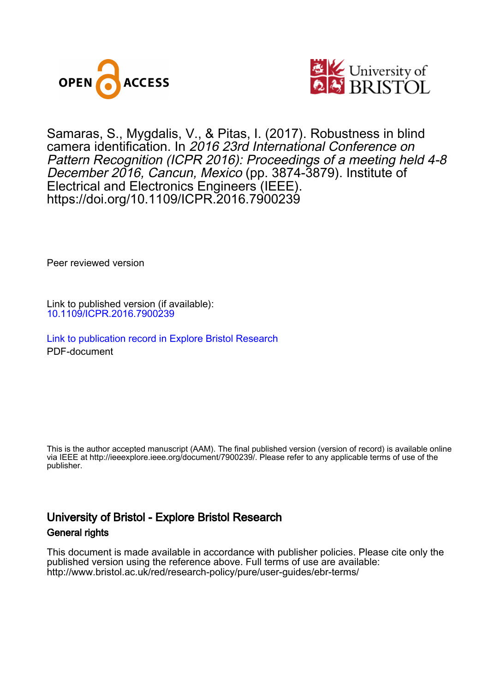



# Samaras, S., Mygdalis, V., & Pitas, I. (2017). Robustness in blind camera identification. In 2016 23rd International Conference on Pattern Recognition (ICPR 2016): Proceedings of a meeting held 4-8 December 2016, Cancun, Mexico (pp. 3874-3879). Institute of Electrical and Electronics Engineers (IEEE). <https://doi.org/10.1109/ICPR.2016.7900239>

Peer reviewed version

Link to published version (if available): [10.1109/ICPR.2016.7900239](https://doi.org/10.1109/ICPR.2016.7900239)

[Link to publication record in Explore Bristol Research](https://research-information.bris.ac.uk/en/publications/e9473aa7-5cb6-4812-a667-8a1259cb4640) PDF-document

This is the author accepted manuscript (AAM). The final published version (version of record) is available online via IEEE at http://ieeexplore.ieee.org/document/7900239/. Please refer to any applicable terms of use of the publisher.

# University of Bristol - Explore Bristol Research General rights

This document is made available in accordance with publisher policies. Please cite only the published version using the reference above. Full terms of use are available: http://www.bristol.ac.uk/red/research-policy/pure/user-guides/ebr-terms/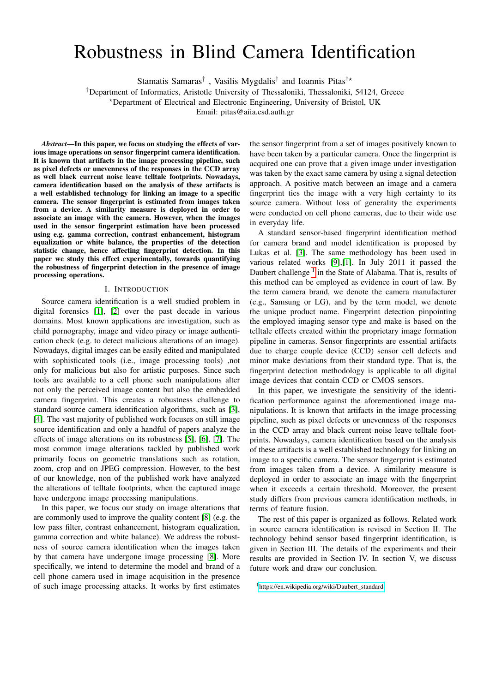# Robustness in Blind Camera Identification

Stamatis Samaras<sup>†</sup>, Vasilis Mygdalis<sup>†</sup> and Ioannis Pitas<sup>†\*</sup>

†Department of Informatics, Aristotle University of Thessaloniki, Thessaloniki, 54124, Greece

?Department of Electrical and Electronic Engineering, University of Bristol, UK

Email: pitas@aiia.csd.auth.gr

*Abstract*—In this paper, we focus on studying the effects of various image operations on sensor fingerprint camera identification. It is known that artifacts in the image processing pipeline, such as pixel defects or unevenness of the responses in the CCD array as well black current noise leave telltale footprints. Nowadays, camera identification based on the analysis of these artifacts is a well established technology for linking an image to a specific camera. The sensor fingerprint is estimated from images taken from a device. A similarity measure is deployed in order to associate an image with the camera. However, when the images used in the sensor fingerprint estimation have been processed using e.g. gamma correction, contrast enhancement, histogram equalization or white balance, the properties of the detection statistic change, hence affecting fingerprint detection. In this paper we study this effect experimentally, towards quantifying the robustness of fingerprint detection in the presence of image processing operations.

#### I. INTRODUCTION

Source camera identification is a well studied problem in digital forensics [\[1\]](#page-6-0), [\[2\]](#page-6-1) over the past decade in various domains. Most known applications are investigation, such as child pornography, image and video piracy or image authentication check (e.g. to detect malicious alterations of an image). Nowadays, digital images can be easily edited and manipulated with sophisticated tools (i.e., image processing tools) ,not only for malicious but also for artistic purposes. Since such tools are available to a cell phone such manipulations alter not only the perceived image content but also the embedded camera fingerprint. This creates a robustness challenge to standard source camera identification algorithms, such as [\[3\]](#page-6-2), [\[4\]](#page-6-3). The vast majority of published work focuses on still image source identification and only a handful of papers analyze the effects of image alterations on its robustness [\[5\]](#page-6-4), [\[6\]](#page-6-5), [\[7\]](#page-6-6). The most common image alterations tackled by published work primarily focus on geometric translations such as rotation, zoom, crop and on JPEG compression. However, to the best of our knowledge, non of the published work have analyzed the alterations of telltale footprints, when the captured image have undergone image processing manipulations.

In this paper, we focus our study on image alterations that are commonly used to improve the quality content [\[8\]](#page-6-7) (e.g. the low pass filter, contrast enhancement, histogram equalization, gamma correction and white balance). We address the robustness of source camera identification when the images taken by that camera have undergone image processing [\[8\]](#page-6-7). More specifically, we intend to determine the model and brand of a cell phone camera used in image acquisition in the presence of such image processing attacks. It works by first estimates

the sensor fingerprint from a set of images positively known to have been taken by a particular camera. Once the fingerprint is acquired one can prove that a given image under investigation was taken by the exact same camera by using a signal detection approach. A positive match between an image and a camera fingerprint ties the image with a very high certainty to its source camera. Without loss of generality the experiments were conducted on cell phone cameras, due to their wide use in everyday life.

A standard sensor-based fingerprint identification method for camera brand and model identification is proposed by Lukas et al. [\[3\]](#page-6-2). The same methodology has been used in various related works [\[9\]](#page-6-8),[\[1\]](#page-6-0). In July 2011 it passed the Daubert challenge<sup>[1](#page-1-0)</sup> in the State of Alabama. That is, results of this method can be employed as evidence in court of law. By the term camera brand, we denote the camera manufacturer (e.g., Samsung or LG), and by the term model, we denote the unique product name. Fingerprint detection pinpointing the employed imaging sensor type and make is based on the telltale effects created within the proprietary image formation pipeline in cameras. Sensor fingerprints are essential artifacts due to charge couple device (CCD) sensor cell defects and minor make deviations from their standard type. That is, the fingerprint detection methodology is applicable to all digital image devices that contain CCD or CMOS sensors.

In this paper, we investigate the sensitivity of the identification performance against the aforementioned image manipulations. It is known that artifacts in the image processing pipeline, such as pixel defects or unevenness of the responses in the CCD array and black current noise leave telltale footprints. Nowadays, camera identification based on the analysis of these artifacts is a well established technology for linking an image to a specific camera. The sensor fingerprint is estimated from images taken from a device. A similarity measure is deployed in order to associate an image with the fingerprint when it exceeds a certain threshold. Moreover, the present study differs from previous camera identification methods, in terms of feature fusion.

The rest of this paper is organized as follows. Related work in source camera identification is revised in Section II. The technology behind sensor based fingerprint identification, is given in Section III. The details of the experiments and their results are provided in Section IV. In section V, we discuss future work and draw our conclusion.

<span id="page-1-0"></span><sup>&</sup>lt;sup>1</sup>[https://en.wikipedia.org/wiki/Daubert](https://en.wikipedia.org/wiki/Daubert_standard)\_standard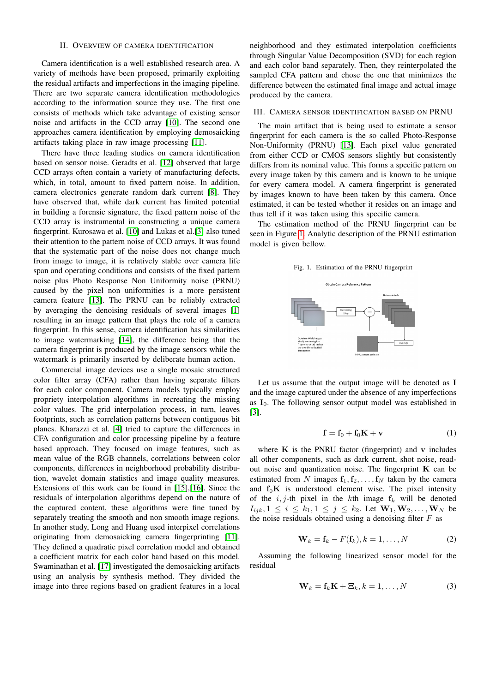#### II. OVERVIEW OF CAMERA IDENTIFICATION

Camera identification is a well established research area. A variety of methods have been proposed, primarily exploiting the residual artifacts and imperfections in the imaging pipeline. There are two separate camera identification methodologies according to the information source they use. The first one consists of methods which take advantage of existing sensor noise and artifacts in the CCD array [\[10\]](#page-6-9). The second one approaches camera identification by employing demosaicking artifacts taking place in raw image processing [\[11\]](#page-6-10).

There have three leading studies on camera identification based on sensor noise. Geradts et al. [\[12\]](#page-6-11) observed that large CCD arrays often contain a variety of manufacturing defects, which, in total, amount to fixed pattern noise. In addition, camera electronics generate random dark current [\[8\]](#page-6-7). They have observed that, while dark current has limited potential in building a forensic signature, the fixed pattern noise of the CCD array is instrumental in constructing a unique camera fingerprint. Kurosawa et al. [\[10\]](#page-6-9) and Lukas et al.[\[3\]](#page-6-2) also tuned their attention to the pattern noise of CCD arrays. It was found that the systematic part of the noise does not change much from image to image, it is relatively stable over camera life span and operating conditions and consists of the fixed pattern noise plus Photo Response Non Uniformity noise (PRNU) caused by the pixel non uniformities is a more persistent camera feature [\[13\]](#page-6-12). The PRNU can be reliably extracted by averaging the denoising residuals of several images [\[1\]](#page-6-0) resulting in an image pattern that plays the role of a camera fingerprint. In this sense, camera identification has similarities to image watermarking [\[14\]](#page-6-13), the difference being that the camera fingerprint is produced by the image sensors while the watermark is primarily inserted by deliberate human action.

Commercial image devices use a single mosaic structured color filter array (CFA) rather than having separate filters for each color component. Camera models typically employ propriety interpolation algorithms in recreating the missing color values. The grid interpolation process, in turn, leaves footprints, such as correlation patterns between contiguous bit planes. Kharazzi et al. [\[4\]](#page-6-3) tried to capture the differences in CFA configuration and color processing pipeline by a feature based approach. They focused on image features, such as mean value of the RGB channels, correlations between color components, differences in neighborhood probability distribution, wavelet domain statistics and image quality measures. Extensions of this work can be found in [\[15\]](#page-6-14),[\[16\]](#page-6-15). Since the residuals of interpolation algorithms depend on the nature of the captured content, these algorithms were fine tuned by separately treating the smooth and non smooth image regions. In another study, Long and Huang used interpixel correlations originating from demosaicking camera fingerprinting [\[11\]](#page-6-10). They defined a quadratic pixel correlation model and obtained a coefficient matrix for each color band based on this model. Swaminathan et al. [\[17\]](#page-6-16) investigated the demosaicking artifacts using an analysis by synthesis method. They divided the image into three regions based on gradient features in a local

neighborhood and they estimated interpolation coefficients through Singular Value Decomposition (SVD) for each region and each color band separately. Then, they reinterpolated the sampled CFA pattern and chose the one that minimizes the difference between the estimated final image and actual image produced by the camera.

#### III. CAMERA SENSOR IDENTIFICATION BASED ON PRNU

The main artifact that is being used to estimate a sensor fingerprint for each camera is the so called Photo-Response Non-Uniformity (PRNU) [\[13\]](#page-6-12). Each pixel value generated from either CCD or CMOS sensors slightly but consistently differs from its nominal value. This forms a specific pattern on every image taken by this camera and is known to be unique for every camera model. A camera fingerprint is generated by images known to have been taken by this camera. Once estimated, it can be tested whether it resides on an image and thus tell if it was taken using this specific camera.

The estimation method of the PRNU fingerprint can be seen in Figure [1.](#page-2-0) Analytic description of the PRNU estimation model is given bellow.

<span id="page-2-0"></span>Fig. 1. Estimation of the PRNU fingerprint



Let us assume that the output image will be denoted as I and the image captured under the absence of any imperfections as  $I_0$ . The following sensor output model was established in [\[3\]](#page-6-2).

$$
\mathbf{f} = \mathbf{f}_0 + \mathbf{f}_0 \mathbf{K} + \mathbf{v} \tag{1}
$$

where  $K$  is the PNRU factor (fingerprint) and  $v$  includes all other components, such as dark current, shot noise, readout noise and quantization noise. The fingerprint  $K$  can be estimated from N images  $f_1, f_2, \ldots, f_N$  taken by the camera and  $f_0K$  is understood element wise. The pixel intensity of the i, j-th pixel in the kth image  $f_k$  will be denoted  $I_{iik}, 1 \leq i \leq k_1, 1 \leq j \leq k_2$ . Let  $W_1, W_2, ..., W_N$  be the noise residuals obtained using a denoising filter  $F$  as

$$
\mathbf{W}_k = \mathbf{f}_k - F(\mathbf{f}_k), k = 1, \dots, N
$$
 (2)

Assuming the following linearized sensor model for the residual

$$
\mathbf{W}_k = \mathbf{f}_k \mathbf{K} + \mathbf{\Xi}_k, k = 1, \dots, N
$$
 (3)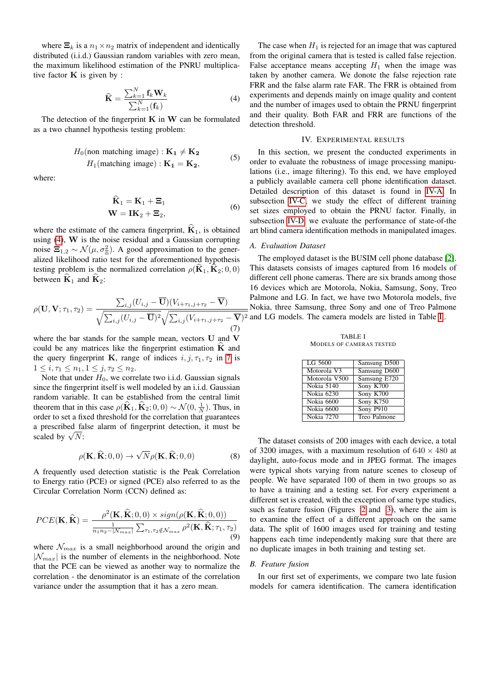where  $\Xi_k$  is a  $n_1 \times n_2$  matrix of independent and identically distributed (i.i.d.) Gaussian random variables with zero mean, the maximum likelihood estimation of the PNRU multiplicative factor  $\bf{K}$  is given by :

<span id="page-3-0"></span>
$$
\widehat{\mathbf{K}} = \frac{\sum_{k=1}^{N} \mathbf{f}_k \mathbf{W}_k}{\sum_{k=1}^{N} (\mathbf{f}_k)}
$$
(4)

The detection of the fingerprint  $K$  in  $W$  can be formulated as a two channel hypothesis testing problem:

$$
H_0(\text{non matching image}) : \mathbf{K}_1 \neq \mathbf{K}_2
$$
  

$$
H_1(\text{matching image}) : \mathbf{K}_1 = \mathbf{K}_2,
$$
 (5)

where:

$$
\dot{\mathbf{K}}_1 = \mathbf{K}_1 + \boldsymbol{\Xi}_1
$$
  
\n
$$
\mathbf{W} = \mathbf{IK}_2 + \boldsymbol{\Xi}_2,
$$
 (6)

where the estimate of the camera fingerprint,  $\hat{\mathbf{K}}_1$ , is obtained using [\(4\)](#page-3-0), W is the noise residual and a Gaussian corrupting noise  $\Xi_{1,2} \sim \mathcal{N}(\mu, \sigma_{\Xi}^2)$ . A good approximation to the generalized likelihood ratio test for the aforementioned hypothesis testing problem is the normalized correlation  $\rho(\hat{\mathbf{K}}_1, \hat{\mathbf{K}}_2; 0, 0)$ between  $\hat{\mathbf{K}}_1$  and  $\hat{\mathbf{K}}_2$ :

<span id="page-3-1"></span>
$$
\rho(\mathbf{U}, \mathbf{V}; \tau_1, \tau_2) = \frac{\sum_{i,j} (U_{i,j} - \overline{\mathbf{U}})(V_{i+\tau_1,j+\tau_2} - \overline{\mathbf{V}})}{\sqrt{\sum_{i,j} (U_{i,j} - \overline{\mathbf{U}})^2} \sqrt{\sum_{i,j} (V_{i+\tau_1,j+\tau_2} - \overline{\mathbf{V}})^2}}
$$
\n(7)

where the bar stands for the sample mean, vectors U and V could be any matrices like the fingerprint estimation  $\hat{K}$  and the query fingerprint K, range of indices  $i, j, \tau_1, \tau_2$  in [7](#page-3-1) is  $1 \leq i, \tau_1 \leq n_1, 1 \leq j, \tau_2 \leq n_2.$ 

Note that under  $H_0$ , we correlate two i.i.d. Gaussian signals since the fingerprint itself is well modeled by an i.i.d. Gaussian random variable. It can be established from the central limit theorem that in this case  $\rho(\hat{\mathbf{K}}_1, \hat{\mathbf{K}}_2; 0, 0) \sim \mathcal{N}(0, \frac{1}{N})$ . Thus, in order to set a fixed threshold for the correlation that guarantees a prescribed false alarm of fingerprint detection, it must be a prescribed fa<br>scaled by  $\sqrt{N}$ :

$$
\rho(\mathbf{K}, \hat{\mathbf{K}}; 0, 0) \to \sqrt{N} \rho(\mathbf{K}, \hat{\mathbf{K}}; 0, 0)
$$
 (8)

A frequently used detection statistic is the Peak Correlation to Energy ratio (PCE) or signed (PCE) also referred to as the Circular Correlation Norm (CCN) defined as:

<span id="page-3-4"></span>
$$
PCE(\mathbf{K}, \widehat{\mathbf{K}}) = \frac{\rho^2(\mathbf{K}, \widehat{\mathbf{K}}; 0, 0) \times sign(\rho(\mathbf{K}, \widehat{\mathbf{K}}; 0, 0))}{\frac{1}{n_1 n_2 - |\mathcal{N}_{max}|} \sum_{\tau_1, \tau_2 \notin \mathcal{N}_{max}} \rho^2(\mathbf{K}, \widehat{\mathbf{K}}; \tau_1, \tau_2)}
$$
\n(9)

where  $\mathcal{N}_{max}$  is a small neighborhood around the origin and  $|\mathcal{N}_{max}|$  is the number of elements in the neighborhood. Note that the PCE can be viewed as another way to normalize the correlation - the denominator is an estimate of the correlation variance under the assumption that it has a zero mean.

The case when  $H_1$  is rejected for an image that was captured from the original camera that is tested is called false rejection. False acceptance means accepting  $H_1$  when the image was taken by another camera. We donote the false rejection rate FRR and the false alarm rate FAR. The FRR is obtained from experiments and depends mainly on image quality and content and the number of images used to obtain the PRNU fingerprint and their quality. Both FAR and FRR are functions of the detection threshold.

# IV. EXPERIMENTAL RESULTS

In this section, we present the conducted experiments in order to evaluate the robustness of image processing manipulations (i.e., image filtering). To this end, we have employed a publicly available camera cell phone identification dataset. Detailed description of this dataset is found in [IV-A.](#page-3-2) In subsection [IV-C,](#page-4-0) we study the effect of different training set sizes employed to obtain the PRNU factor. Finally, in subsection [IV-D,](#page-4-1) we evaluate the performance of state-of-the art blind camera identification methods in manipulated images.

#### <span id="page-3-2"></span>*A. Evaluation Dataset*

2 and LG models. The camera models are listed in Table [I,](#page-3-3). The employed dataset is the BUSIM cell phone database [\[2\]](#page-6-1). This datasets consists of images captured from 16 models of different cell phone cameras. There are six brands among those 16 devices which are Motorola, Nokia, Samsung, Sony, Treo Palmone and LG. In fact, we have two Motorola models, five Nokia, three Samsung, three Sony and one of Treo Palmone

TABLE I MODELS OF CAMERAS TESTED

<span id="page-3-3"></span>

| LG 5600       | Samsung D500 |
|---------------|--------------|
| Motorola V3   | Samsung D600 |
| Motorola V500 | Samsung E720 |
| Nokia 5140    | Sony K700    |
| Nokia 6230    | Sony K700    |
| Nokia 6600    | Sony K750    |
| Nokia 6600    | Sony $P910$  |
| Nokia 7270    | Treo Palmone |

The dataset consists of 200 images with each device, a total of 3200 images, with a maximum resolution of  $640 \times 480$  at daylight, auto-focus mode and in JPEG format. The images were typical shots varying from nature scenes to closeup of people. We have separated 100 of them in two groups so as to have a training and a testing set. For every experiment a different set is created, with the exception of same type studies, such as feature fusion (Figures [2](#page-4-2) and [3\)](#page-4-3), where the aim is to examine the effect of a different approach on the same data. The split of 1600 images used for training and testing happens each time independently making sure that there are no duplicate images in both training and testing set.

#### *B. Feature fusion*

In our first set of experiments, we compare two late fusion models for camera identification. The camera identification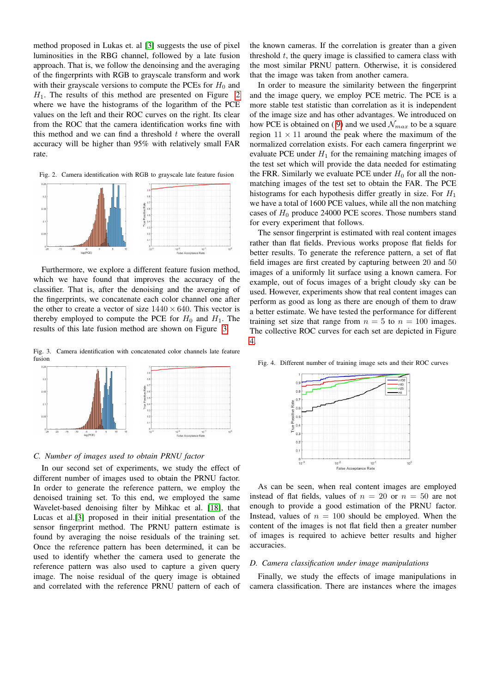method proposed in Lukas et. al [\[3\]](#page-6-2) suggests the use of pixel luminosities in the RBG channel, followed by a late fusion approach. That is, we follow the denoinsing and the averaging of the fingerprints with RGB to grayscale transform and work with their grayscale versions to compute the PCEs for  $H_0$  and  $H<sub>1</sub>$ . The results of this method are presented on Figure [2](#page-4-2) where we have the histograms of the logarithm of the PCE values on the left and their ROC curves on the right. Its clear from the ROC that the camera identification works fine with this method and we can find a threshold  $t$  where the overall accuracy will be higher than 95% with relatively small FAR rate.

<span id="page-4-2"></span>Fig. 2. Camera identification with RGB to grayscale late feature fusion



Furthermore, we explore a different feature fusion method, which we have found that improves the accuracy of the classifier. That is, after the denoising and the averaging of the fingerprints, we concatenate each color channel one after the other to create a vector of size  $1440 \times 640$ . This vector is thereby employed to compute the PCE for  $H_0$  and  $H_1$ . The results of this late fusion method are shown on Figure [3.](#page-4-3)

<span id="page-4-3"></span>Fig. 3. Camera identification with concatenated color channels late feature fusion



# <span id="page-4-0"></span>*C. Number of images used to obtain PRNU factor*

In our second set of experiments, we study the effect of different number of images used to obtain the PRNU factor. In order to generate the reference pattern, we employ the denoised training set. To this end, we employed the same Wavelet-based denoising filter by Mihkac et al. [\[18\]](#page-6-17), that Lucas et al.[\[3\]](#page-6-2) proposed in their initial presentation of the sensor fingerprint method. The PRNU pattern estimate is found by averaging the noise residuals of the training set. Once the reference pattern has been determined, it can be used to identify whether the camera used to generate the reference pattern was also used to capture a given query image. The noise residual of the query image is obtained and correlated with the reference PRNU pattern of each of

the known cameras. If the correlation is greater than a given threshold  $t$ , the query image is classified to camera class with the most similar PRNU pattern. Otherwise, it is considered that the image was taken from another camera.

In order to measure the similarity between the fingerprint and the image query, we employ PCE metric. The PCE is a more stable test statistic than correlation as it is independent of the image size and has other advantages. We introduced on how PCE is obtained on (9) and we used  $\mathcal{N}_{max}$  to be a square region  $11 \times 11$  around the peak where the maximum of the normalized correlation exists. For each camera fingerprint we evaluate PCE under  $H_1$  for the remaining matching images of the test set which will provide the data needed for estimating the FRR. Similarly we evaluate PCE under  $H_0$  for all the nonmatching images of the test set to obtain the FAR. The PCE histograms for each hypothesis differ greatly in size. For  $H_1$ we have a total of 1600 PCE values, while all the non matching cases of  $H_0$  produce 24000 PCE scores. Those numbers stand for every experiment that follows.

The sensor fingerprint is estimated with real content images rather than flat fields. Previous works propose flat fields for better results. To generate the reference pattern, a set of flat field images are first created by capturing between 20 and 50 images of a uniformly lit surface using a known camera. For example, out of focus images of a bright cloudy sky can be used. However, experiments show that real content images can perform as good as long as there are enough of them to draw a better estimate. We have tested the performance for different training set size that range from  $n = 5$  to  $n = 100$  images. The collective ROC curves for each set are depicted in Figure [4.](#page-4-4)

<span id="page-4-4"></span>

Fig. 4. Different number of training image sets and their ROC curves

As can be seen, when real content images are employed instead of flat fields, values of  $n = 20$  or  $n = 50$  are not enough to provide a good estimation of the PRNU factor. Instead, values of  $n = 100$  should be employed. When the content of the images is not flat field then a greater number of images is required to achieve better results and higher accuracies.

## <span id="page-4-1"></span>*D. Camera classification under image manipulations*

Finally, we study the effects of image manipulations in camera classification. There are instances where the images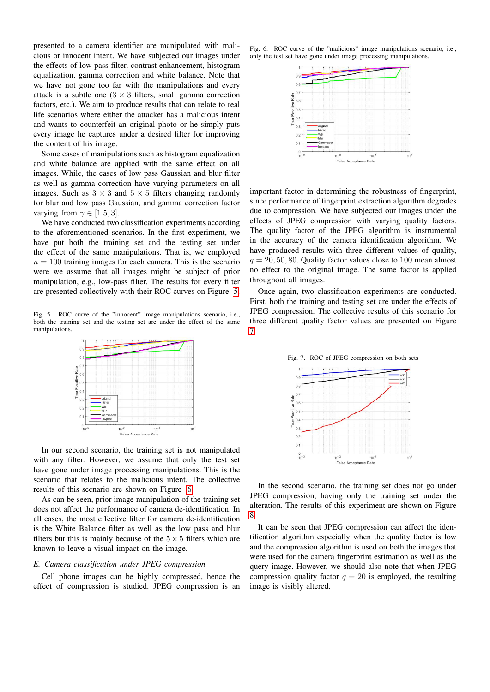presented to a camera identifier are manipulated with malicious or innocent intent. We have subjected our images under the effects of low pass filter, contrast enhancement, histogram equalization, gamma correction and white balance. Note that we have not gone too far with the manipulations and every attack is a subtle one  $(3 \times 3)$  filters, small gamma correction factors, etc.). We aim to produce results that can relate to real life scenarios where either the attacker has a malicious intent and wants to counterfeit an original photo or he simply puts every image he captures under a desired filter for improving the content of his image.

Some cases of manipulations such as histogram equalization and white balance are applied with the same effect on all images. While, the cases of low pass Gaussian and blur filter as well as gamma correction have varying parameters on all images. Such as  $3 \times 3$  and  $5 \times 5$  filters changing randomly for blur and low pass Gaussian, and gamma correction factor varying from  $\gamma \in [1.5, 3]$ .

We have conducted two classification experiments according to the aforementioned scenarios. In the first experiment, we have put both the training set and the testing set under the effect of the same manipulations. That is, we employed  $n = 100$  training images for each camera. This is the scenario were we assume that all images might be subject of prior manipulation, e.g., low-pass filter. The results for every filter are presented collectively with their ROC curves on Figure [5.](#page-5-0)

<span id="page-5-0"></span>Fig. 5. ROC curve of the "innocent" image manipulations scenario, i.e., both the training set and the testing set are under the effect of the same manipulations.



In our second scenario, the training set is not manipulated with any filter. However, we assume that only the test set have gone under image processing manipulations. This is the scenario that relates to the malicious intent. The collective results of this scenario are shown on Figure [6.](#page-5-1)

As can be seen, prior image manipulation of the training set does not affect the performance of camera de-identification. In all cases, the most effective filter for camera de-identification is the White Balance filter as well as the low pass and blur filters but this is mainly because of the  $5 \times 5$  filters which are known to leave a visual impact on the image.

# *E. Camera classification under JPEG compression*

Cell phone images can be highly compressed, hence the effect of compression is studied. JPEG compression is an Fig. 6. ROC curve of the "malicious" image manipulations scenario, i.e., only the test set have gone under image processing manipulations.

<span id="page-5-1"></span>

important factor in determining the robustness of fingerprint, since performance of fingerprint extraction algorithm degrades due to compression. We have subjected our images under the effects of JPEG compression with varying quality factors. The quality factor of the JPEG algorithm is instrumental in the accuracy of the camera identification algorithm. We have produced results with three different values of quality,  $q = 20, 50, 80$ . Quality factor values close to 100 mean almost no effect to the original image. The same factor is applied throughout all images.

Once again, two classification experiments are conducted. First, both the training and testing set are under the effects of JPEG compression. The collective results of this scenario for three different quality factor values are presented on Figure [7.](#page-5-2)

<span id="page-5-2"></span>Fig. 7. ROC of JPEG compression on both sets



In the second scenario, the training set does not go under JPEG compression, having only the training set under the alteration. The results of this experiment are shown on Figure [8.](#page-6-18)

It can be seen that JPEG compression can affect the identification algorithm especially when the quality factor is low and the compression algorithm is used on both the images that were used for the camera fingerprint estimation as well as the query image. However, we should also note that when JPEG compression quality factor  $q = 20$  is employed, the resulting image is visibly altered.